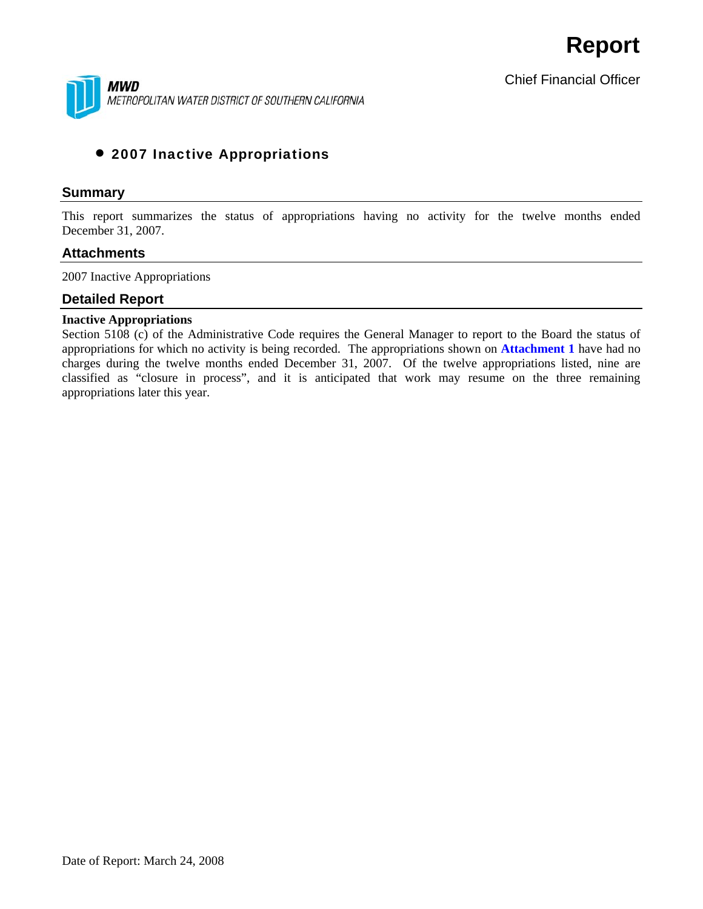

Chief Financial Officer

## • 2007 Inactive Appropriations

#### **Summary**

This report summarizes the status of appropriations having no activity for the twelve months ended December 31, 2007.

### **Attachments**

2007 Inactive Appropriations

### **Detailed Report**

#### **Inactive Appropriations**

Section 5108 (c) of the Administrative Code requires the General Manager to report to the Board the status of appropriations for which no activity is being recorded. The appropriations shown on **Attachment 1** have had no charges during the twelve months ended December 31, 2007. Of the twelve appropriations listed, nine are classified as "closure in process", and it is anticipated that work may resume on the three remaining appropriations later this year.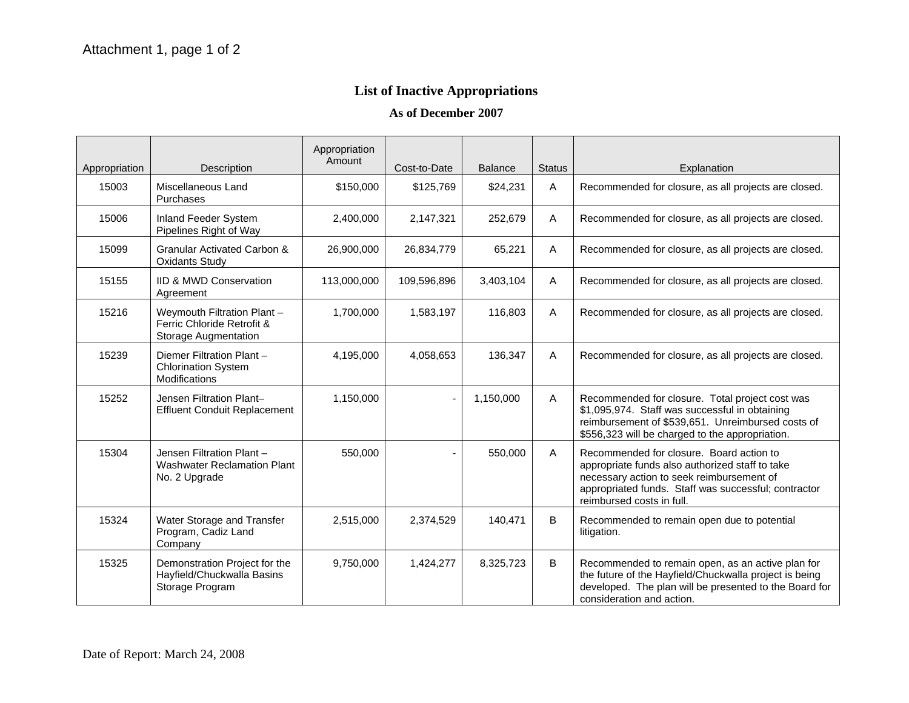# **List of Inactive Appropriations**

**As of December 2007** 

| Appropriation | Description                                                                       | Appropriation<br>Amount | Cost-to-Date | <b>Balance</b> | <b>Status</b> | Explanation                                                                                                                                                                                                                   |
|---------------|-----------------------------------------------------------------------------------|-------------------------|--------------|----------------|---------------|-------------------------------------------------------------------------------------------------------------------------------------------------------------------------------------------------------------------------------|
| 15003         | Miscellaneous Land<br>Purchases                                                   | \$150,000               | \$125,769    | \$24,231       | A             | Recommended for closure, as all projects are closed.                                                                                                                                                                          |
| 15006         | Inland Feeder System<br>Pipelines Right of Way                                    | 2,400,000               | 2,147,321    | 252,679        | A             | Recommended for closure, as all projects are closed.                                                                                                                                                                          |
| 15099         | <b>Granular Activated Carbon &amp;</b><br><b>Oxidants Study</b>                   | 26,900,000              | 26,834,779   | 65,221         | A             | Recommended for closure, as all projects are closed.                                                                                                                                                                          |
| 15155         | <b>IID &amp; MWD Conservation</b><br>Agreement                                    | 113,000,000             | 109,596,896  | 3,403,104      | A             | Recommended for closure, as all projects are closed.                                                                                                                                                                          |
| 15216         | Weymouth Filtration Plant -<br>Ferric Chloride Retrofit &<br>Storage Augmentation | 1,700,000               | 1,583,197    | 116,803        | A             | Recommended for closure, as all projects are closed.                                                                                                                                                                          |
| 15239         | Diemer Filtration Plant -<br><b>Chlorination System</b><br>Modifications          | 4,195,000               | 4,058,653    | 136,347        | Α             | Recommended for closure, as all projects are closed.                                                                                                                                                                          |
| 15252         | Jensen Filtration Plant-<br><b>Effluent Conduit Replacement</b>                   | 1,150,000               |              | 1,150,000      | $\mathsf{A}$  | Recommended for closure. Total project cost was<br>\$1,095,974. Staff was successful in obtaining<br>reimbursement of \$539,651. Unreimbursed costs of<br>\$556,323 will be charged to the appropriation.                     |
| 15304         | Jensen Filtration Plant-<br><b>Washwater Reclamation Plant</b><br>No. 2 Upgrade   | 550,000                 |              | 550,000        | A             | Recommended for closure. Board action to<br>appropriate funds also authorized staff to take<br>necessary action to seek reimbursement of<br>appropriated funds. Staff was successful; contractor<br>reimbursed costs in full. |
| 15324         | Water Storage and Transfer<br>Program, Cadiz Land<br>Company                      | 2,515,000               | 2,374,529    | 140,471        | B             | Recommended to remain open due to potential<br>litigation.                                                                                                                                                                    |
| 15325         | Demonstration Project for the<br>Hayfield/Chuckwalla Basins<br>Storage Program    | 9,750,000               | 1,424,277    | 8,325,723      | B             | Recommended to remain open, as an active plan for<br>the future of the Hayfield/Chuckwalla project is being<br>developed. The plan will be presented to the Board for<br>consideration and action.                            |